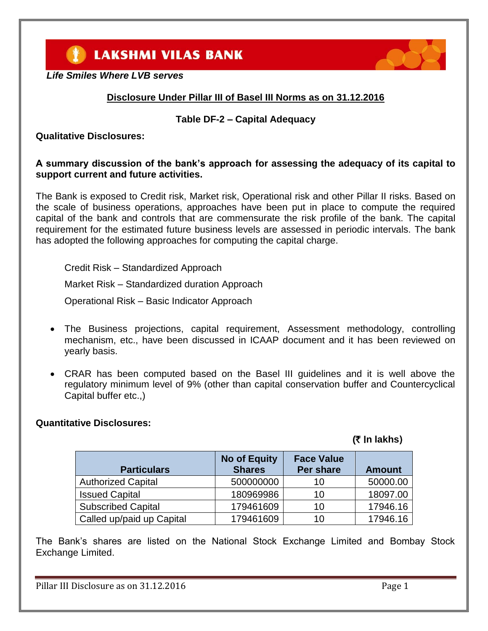**LAKSHMI VILAS BANK** 



# **Disclosure Under Pillar III of Basel III Norms as on 31.12.2016**

#### **Table DF-2 – Capital Adequacy**

#### **Qualitative Disclosures:**

#### **A summary discussion of the bank's approach for assessing the adequacy of its capital to support current and future activities.**

The Bank is exposed to Credit risk, Market risk, Operational risk and other Pillar II risks. Based on the scale of business operations, approaches have been put in place to compute the required capital of the bank and controls that are commensurate the risk profile of the bank. The capital requirement for the estimated future business levels are assessed in periodic intervals. The bank has adopted the following approaches for computing the capital charge.

Credit Risk – Standardized Approach

Market Risk – Standardized duration Approach

Operational Risk – Basic Indicator Approach

- The Business projections, capital requirement, Assessment methodology, controlling mechanism, etc., have been discussed in ICAAP document and it has been reviewed on yearly basis.
- CRAR has been computed based on the Basel III guidelines and it is well above the regulatory minimum level of 9% (other than capital conservation buffer and Countercyclical Capital buffer etc.,)

#### **Quantitative Disclosures:**

# **(**` I**n lakhs**)

| <b>Particulars</b>        | <b>No of Equity</b><br><b>Shares</b> | <b>Face Value</b><br>Per share | <b>Amount</b> |
|---------------------------|--------------------------------------|--------------------------------|---------------|
| <b>Authorized Capital</b> | 500000000                            | 10                             | 50000.00      |
| <b>Issued Capital</b>     | 180969986                            | 10                             | 18097.00      |
| <b>Subscribed Capital</b> | 179461609                            | 10                             | 17946.16      |
| Called up/paid up Capital | 179461609                            | 10                             | 17946.16      |

The Bank's shares are listed on the National Stock Exchange Limited and Bombay Stock Exchange Limited.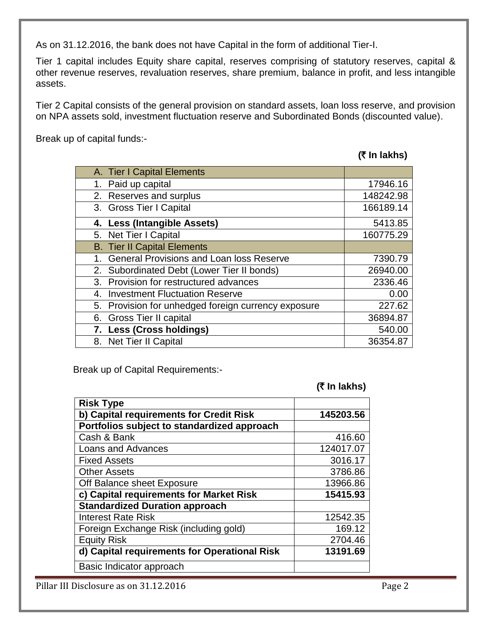As on 31.12.2016, the bank does not have Capital in the form of additional Tier-I.

Tier 1 capital includes Equity share capital, reserves comprising of statutory reserves, capital & other revenue reserves, revaluation reserves, share premium, balance in profit, and less intangible assets.

Tier 2 Capital consists of the general provision on standard assets, loan loss reserve, and provision on NPA assets sold, investment fluctuation reserve and Subordinated Bonds (discounted value).

Break up of capital funds:-

**(**` **In lakhs)**

| A. Tier I Capital Elements                          |           |
|-----------------------------------------------------|-----------|
| 1. Paid up capital                                  | 17946.16  |
| 2. Reserves and surplus                             | 148242.98 |
| 3. Gross Tier I Capital                             | 166189.14 |
| 4. Less (Intangible Assets)                         | 5413.85   |
| 5. Net Tier I Capital                               | 160775.29 |
| <b>B.</b> Tier II Capital Elements                  |           |
| <b>General Provisions and Loan loss Reserve</b>     | 7390.79   |
| 2. Subordinated Debt (Lower Tier II bonds)          | 26940.00  |
| 3. Provision for restructured advances              | 2336.46   |
| <b>Investment Fluctuation Reserve</b><br>4.         | 0.00      |
| 5. Provision for unhedged foreign currency exposure | 227.62    |
| 6. Gross Tier II capital                            | 36894.87  |
| 7. Less (Cross holdings)                            | 540.00    |
| 8. Net Tier II Capital                              | 36354.87  |

Break up of Capital Requirements:-

**(**` **In lakhs)**

| <b>Risk Type</b>                             |           |
|----------------------------------------------|-----------|
| b) Capital requirements for Credit Risk      | 145203.56 |
| Portfolios subject to standardized approach  |           |
| Cash & Bank                                  | 416.60    |
| <b>Loans and Advances</b>                    | 124017.07 |
| <b>Fixed Assets</b>                          | 3016.17   |
| <b>Other Assets</b>                          | 3786.86   |
| Off Balance sheet Exposure                   | 13966.86  |
| c) Capital requirements for Market Risk      | 15415.93  |
| <b>Standardized Duration approach</b>        |           |
| <b>Interest Rate Risk</b>                    | 12542.35  |
| Foreign Exchange Risk (including gold)       | 169.12    |
| <b>Equity Risk</b>                           | 2704.46   |
| d) Capital requirements for Operational Risk | 13191.69  |
| Basic Indicator approach                     |           |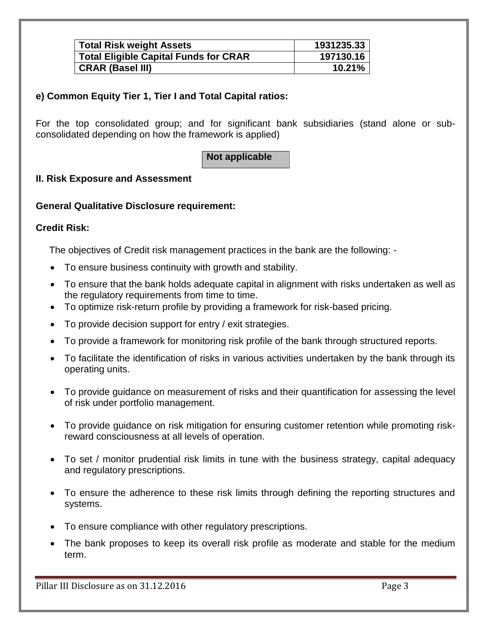| <b>Total Risk weight Assets</b>              | 1931235.33 |
|----------------------------------------------|------------|
| <b>Total Eligible Capital Funds for CRAR</b> | 197130.16  |
| <b>CRAR (Basel III)</b>                      | 10.21%     |

# **e) Common Equity Tier 1, Tier I and Total Capital ratios:**

For the top consolidated group; and for significant bank subsidiaries (stand alone or subconsolidated depending on how the framework is applied)

**Not applicable**

# **II. Risk Exposure and Assessment**

#### **General Qualitative Disclosure requirement:**

#### **Credit Risk:**

The objectives of Credit risk management practices in the bank are the following: -

- To ensure business continuity with growth and stability.
- To ensure that the bank holds adequate capital in alignment with risks undertaken as well as the regulatory requirements from time to time.
- To optimize risk-return profile by providing a framework for risk-based pricing.
- To provide decision support for entry / exit strategies.
- To provide a framework for monitoring risk profile of the bank through structured reports.
- To facilitate the identification of risks in various activities undertaken by the bank through its operating units.
- To provide guidance on measurement of risks and their quantification for assessing the level of risk under portfolio management.
- To provide guidance on risk mitigation for ensuring customer retention while promoting riskreward consciousness at all levels of operation.
- To set / monitor prudential risk limits in tune with the business strategy, capital adequacy and regulatory prescriptions.
- To ensure the adherence to these risk limits through defining the reporting structures and systems.
- To ensure compliance with other regulatory prescriptions.
- The bank proposes to keep its overall risk profile as moderate and stable for the medium term.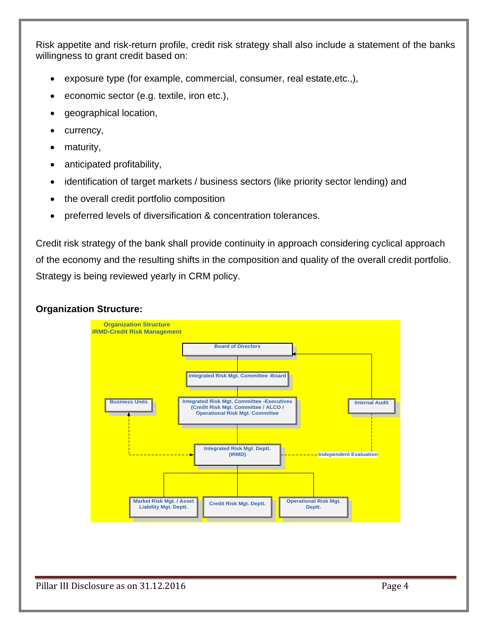Risk appetite and risk-return profile, credit risk strategy shall also include a statement of the banks willingness to grant credit based on:

- exposure type (for example, commercial, consumer, real estate,etc.,),
- economic sector (e.g. textile, iron etc.),
- geographical location,
- currency,
- maturity,
- anticipated profitability,
- identification of target markets / business sectors (like priority sector lending) and
- the overall credit portfolio composition
- preferred levels of diversification & concentration tolerances.

Credit risk strategy of the bank shall provide continuity in approach considering cyclical approach of the economy and the resulting shifts in the composition and quality of the overall credit portfolio. Strategy is being reviewed yearly in CRM policy.

#### **Organization Structure:**

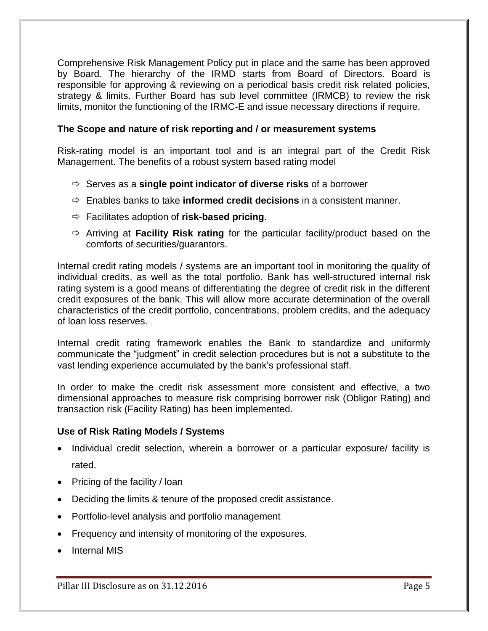Comprehensive Risk Management Policy put in place and the same has been approved by Board. The hierarchy of the IRMD starts from Board of Directors. Board is responsible for approving & reviewing on a periodical basis credit risk related policies, strategy & limits. Further Board has sub level committee (IRMCB) to review the risk limits, monitor the functioning of the IRMC-E and issue necessary directions if require.

#### **The Scope and nature of risk reporting and / or measurement systems**

Risk-rating model is an important tool and is an integral part of the Credit Risk Management. The benefits of a robust system based rating model

- Serves as a **single point indicator of diverse risks** of a borrower
- $\Rightarrow$  Enables banks to take **informed credit decisions** in a consistent manner.
- Facilitates adoption of **risk-based pricing**.
- Arriving at **Facility Risk rating** for the particular facility/product based on the comforts of securities/guarantors.

Internal credit rating models / systems are an important tool in monitoring the quality of individual credits, as well as the total portfolio. Bank has well-structured internal risk rating system is a good means of differentiating the degree of credit risk in the different credit exposures of the bank. This will allow more accurate determination of the overall characteristics of the credit portfolio, concentrations, problem credits, and the adequacy of loan loss reserves.

Internal credit rating framework enables the Bank to standardize and uniformly communicate the "judgment" in credit selection procedures but is not a substitute to the vast lending experience accumulated by the bank's professional staff.

In order to make the credit risk assessment more consistent and effective, a two dimensional approaches to measure risk comprising borrower risk (Obligor Rating) and transaction risk (Facility Rating) has been implemented.

#### **Use of Risk Rating Models / Systems**

- Individual credit selection, wherein a borrower or a particular exposure/ facility is rated.
- Pricing of the facility  $\ell$  loan
- Deciding the limits & tenure of the proposed credit assistance.
- Portfolio-level analysis and portfolio management
- Frequency and intensity of monitoring of the exposures.
- Internal MIS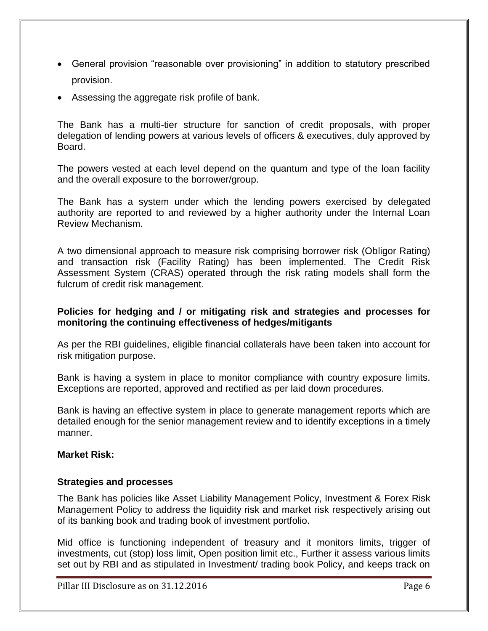- General provision "reasonable over provisioning" in addition to statutory prescribed provision.
- Assessing the aggregate risk profile of bank.

The Bank has a multi-tier structure for sanction of credit proposals, with proper delegation of lending powers at various levels of officers & executives, duly approved by Board.

The powers vested at each level depend on the quantum and type of the loan facility and the overall exposure to the borrower/group.

The Bank has a system under which the lending powers exercised by delegated authority are reported to and reviewed by a higher authority under the Internal Loan Review Mechanism.

A two dimensional approach to measure risk comprising borrower risk (Obligor Rating) and transaction risk (Facility Rating) has been implemented. The Credit Risk Assessment System (CRAS) operated through the risk rating models shall form the fulcrum of credit risk management.

#### **Policies for hedging and / or mitigating risk and strategies and processes for monitoring the continuing effectiveness of hedges/mitigants**

As per the RBI guidelines, eligible financial collaterals have been taken into account for risk mitigation purpose.

Bank is having a system in place to monitor compliance with country exposure limits. Exceptions are reported, approved and rectified as per laid down procedures.

Bank is having an effective system in place to generate management reports which are detailed enough for the senior management review and to identify exceptions in a timely manner.

#### **Market Risk:**

#### **Strategies and processes**

The Bank has policies like Asset Liability Management Policy, Investment & Forex Risk Management Policy to address the liquidity risk and market risk respectively arising out of its banking book and trading book of investment portfolio.

Mid office is functioning independent of treasury and it monitors limits, trigger of investments, cut (stop) loss limit, Open position limit etc., Further it assess various limits set out by RBI and as stipulated in Investment/ trading book Policy, and keeps track on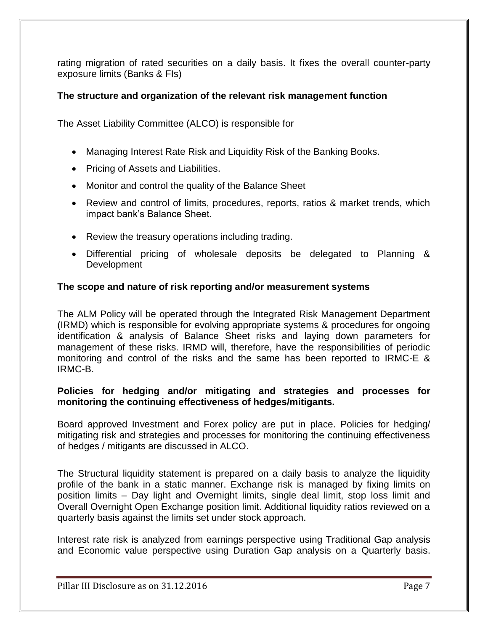rating migration of rated securities on a daily basis. It fixes the overall counter-party exposure limits (Banks & FIs)

### **The structure and organization of the relevant risk management function**

The Asset Liability Committee (ALCO) is responsible for

- Managing Interest Rate Risk and Liquidity Risk of the Banking Books.
- Pricing of Assets and Liabilities.
- Monitor and control the quality of the Balance Sheet
- Review and control of limits, procedures, reports, ratios & market trends, which impact bank's Balance Sheet.
- Review the treasury operations including trading.
- Differential pricing of wholesale deposits be delegated to Planning & **Development**

#### **The scope and nature of risk reporting and/or measurement systems**

The ALM Policy will be operated through the Integrated Risk Management Department (IRMD) which is responsible for evolving appropriate systems & procedures for ongoing identification & analysis of Balance Sheet risks and laying down parameters for management of these risks. IRMD will, therefore, have the responsibilities of periodic monitoring and control of the risks and the same has been reported to IRMC-E & IRMC-B.

#### **Policies for hedging and/or mitigating and strategies and processes for monitoring the continuing effectiveness of hedges/mitigants.**

Board approved Investment and Forex policy are put in place. Policies for hedging/ mitigating risk and strategies and processes for monitoring the continuing effectiveness of hedges / mitigants are discussed in ALCO.

The Structural liquidity statement is prepared on a daily basis to analyze the liquidity profile of the bank in a static manner. Exchange risk is managed by fixing limits on position limits – Day light and Overnight limits, single deal limit, stop loss limit and Overall Overnight Open Exchange position limit. Additional liquidity ratios reviewed on a quarterly basis against the limits set under stock approach.

Interest rate risk is analyzed from earnings perspective using Traditional Gap analysis and Economic value perspective using Duration Gap analysis on a Quarterly basis.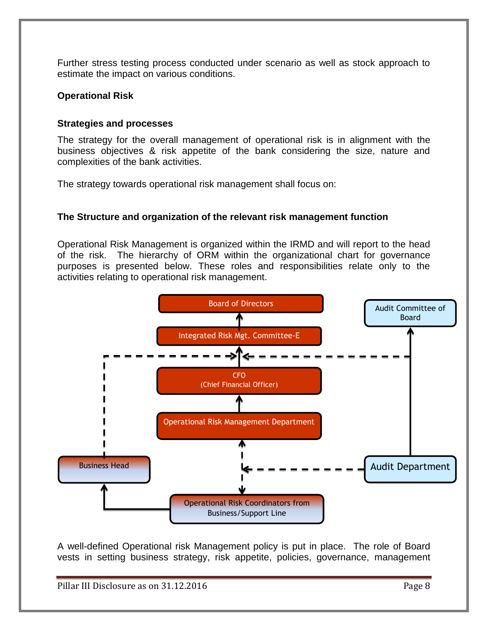Further stress testing process conducted under scenario as well as stock approach to estimate the impact on various conditions.

#### **Operational Risk**

#### **Strategies and processes**

The strategy for the overall management of operational risk is in alignment with the business objectives & risk appetite of the bank considering the size, nature and complexities of the bank activities.

The strategy towards operational risk management shall focus on:

### **The Structure and organization of the relevant risk management function**

Operational Risk Management is organized within the IRMD and will report to the head of the risk. The hierarchy of ORM within the organizational chart for governance purposes is presented below. These roles and responsibilities relate only to the activities relating to operational risk management.



A well-defined Operational risk Management policy is put in place. The role of Board vests in setting business strategy, risk appetite, policies, governance, management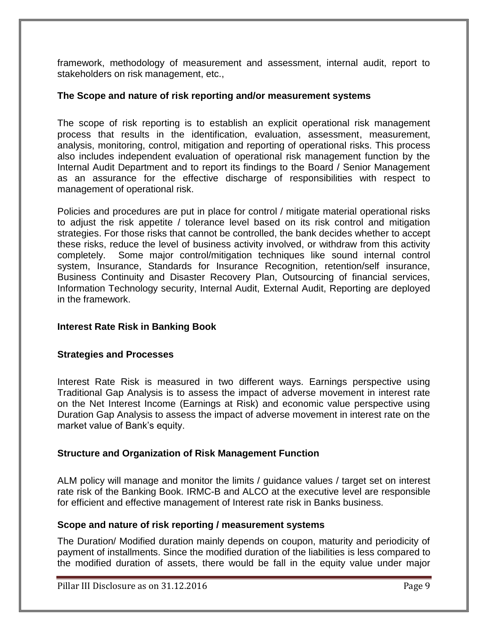framework, methodology of measurement and assessment, internal audit, report to stakeholders on risk management, etc.,

#### **The Scope and nature of risk reporting and/or measurement systems**

The scope of risk reporting is to establish an explicit operational risk management process that results in the identification, evaluation, assessment, measurement, analysis, monitoring, control, mitigation and reporting of operational risks. This process also includes independent evaluation of operational risk management function by the Internal Audit Department and to report its findings to the Board / Senior Management as an assurance for the effective discharge of responsibilities with respect to management of operational risk.

Policies and procedures are put in place for control / mitigate material operational risks to adjust the risk appetite / tolerance level based on its risk control and mitigation strategies. For those risks that cannot be controlled, the bank decides whether to accept these risks, reduce the level of business activity involved, or withdraw from this activity completely. Some major control/mitigation techniques like sound internal control system, Insurance, Standards for Insurance Recognition, retention/self insurance, Business Continuity and Disaster Recovery Plan, Outsourcing of financial services, Information Technology security, Internal Audit, External Audit, Reporting are deployed in the framework.

#### **Interest Rate Risk in Banking Book**

#### **Strategies and Processes**

Interest Rate Risk is measured in two different ways. Earnings perspective using Traditional Gap Analysis is to assess the impact of adverse movement in interest rate on the Net Interest Income (Earnings at Risk) and economic value perspective using Duration Gap Analysis to assess the impact of adverse movement in interest rate on the market value of Bank's equity.

#### **Structure and Organization of Risk Management Function**

ALM policy will manage and monitor the limits / guidance values / target set on interest rate risk of the Banking Book. IRMC-B and ALCO at the executive level are responsible for efficient and effective management of Interest rate risk in Banks business.

#### **Scope and nature of risk reporting / measurement systems**

The Duration/ Modified duration mainly depends on coupon, maturity and periodicity of payment of installments. Since the modified duration of the liabilities is less compared to the modified duration of assets, there would be fall in the equity value under major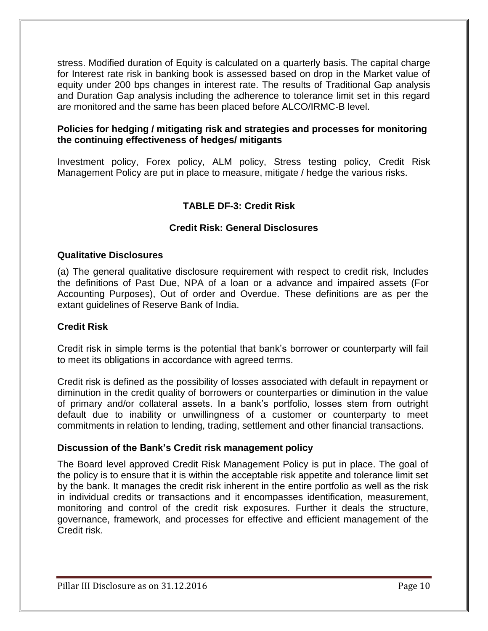stress. Modified duration of Equity is calculated on a quarterly basis. The capital charge for Interest rate risk in banking book is assessed based on drop in the Market value of equity under 200 bps changes in interest rate. The results of Traditional Gap analysis and Duration Gap analysis including the adherence to tolerance limit set in this regard are monitored and the same has been placed before ALCO/IRMC-B level.

### **Policies for hedging / mitigating risk and strategies and processes for monitoring the continuing effectiveness of hedges/ mitigants**

Investment policy, Forex policy, ALM policy, Stress testing policy, Credit Risk Management Policy are put in place to measure, mitigate / hedge the various risks.

# **TABLE DF-3: Credit Risk**

# **Credit Risk: General Disclosures**

### **Qualitative Disclosures**

(a) The general qualitative disclosure requirement with respect to credit risk, Includes the definitions of Past Due, NPA of a loan or a advance and impaired assets (For Accounting Purposes), Out of order and Overdue. These definitions are as per the extant guidelines of Reserve Bank of India.

#### **Credit Risk**

Credit risk in simple terms is the potential that bank's borrower or counterparty will fail to meet its obligations in accordance with agreed terms.

Credit risk is defined as the possibility of losses associated with default in repayment or diminution in the credit quality of borrowers or counterparties or diminution in the value of primary and/or collateral assets. In a bank's portfolio, losses stem from outright default due to inability or unwillingness of a customer or counterparty to meet commitments in relation to lending, trading, settlement and other financial transactions.

#### **Discussion of the Bank's Credit risk management policy**

The Board level approved Credit Risk Management Policy is put in place. The goal of the policy is to ensure that it is within the acceptable risk appetite and tolerance limit set by the bank. It manages the credit risk inherent in the entire portfolio as well as the risk in individual credits or transactions and it encompasses identification, measurement, monitoring and control of the credit risk exposures. Further it deals the structure, governance, framework, and processes for effective and efficient management of the Credit risk.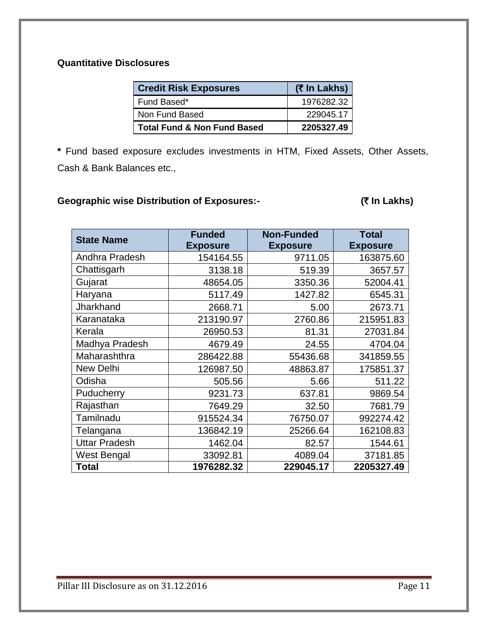# **Quantitative Disclosures**

| <b>Credit Risk Exposures</b>           | (₹ In Lakhs) |
|----------------------------------------|--------------|
| Fund Based*                            | 1976282.32   |
| Non Fund Based                         | 229045.17    |
| <b>Total Fund &amp; Non Fund Based</b> | 2205327.49   |

**\*** Fund based exposure excludes investments in HTM, Fixed Assets, Other Assets, Cash & Bank Balances etc.,

# Geographic wise Distribution of Exposures:- **In Community (₹ In Lakhs)**

| <b>State Name</b>    | <b>Funded</b>   | <b>Non-Funded</b> | <b>Total</b>    |
|----------------------|-----------------|-------------------|-----------------|
|                      | <b>Exposure</b> | <b>Exposure</b>   | <b>Exposure</b> |
| Andhra Pradesh       | 154164.55       | 9711.05           | 163875.60       |
| Chattisgarh          | 3138.18         | 519.39            | 3657.57         |
| Gujarat              | 48654.05        | 3350.36           | 52004.41        |
| Haryana              | 5117.49         | 1427.82           | 6545.31         |
| Jharkhand            | 2668.71         | 5.00              | 2673.71         |
| Karanataka           | 213190.97       | 2760.86           | 215951.83       |
| Kerala               | 26950.53        | 81.31             | 27031.84        |
| Madhya Pradesh       | 4679.49         | 24.55             | 4704.04         |
| Maharashthra         | 286422.88       | 55436.68          | 341859.55       |
| <b>New Delhi</b>     | 126987.50       | 48863.87          | 175851.37       |
| Odisha               | 505.56          | 5.66              | 511.22          |
| Puducherry           | 9231.73         | 637.81            | 9869.54         |
| Rajasthan            | 7649.29         | 32.50             | 7681.79         |
| Tamilnadu            | 915524.34       | 76750.07          | 992274.42       |
| Telangana            | 136842.19       | 25266.64          | 162108.83       |
| <b>Uttar Pradesh</b> | 1462.04         | 82.57             | 1544.61         |
| West Bengal          | 33092.81        | 4089.04           | 37181.85        |
| <b>Total</b>         | 1976282.32      | 229045.17         | 2205327.49      |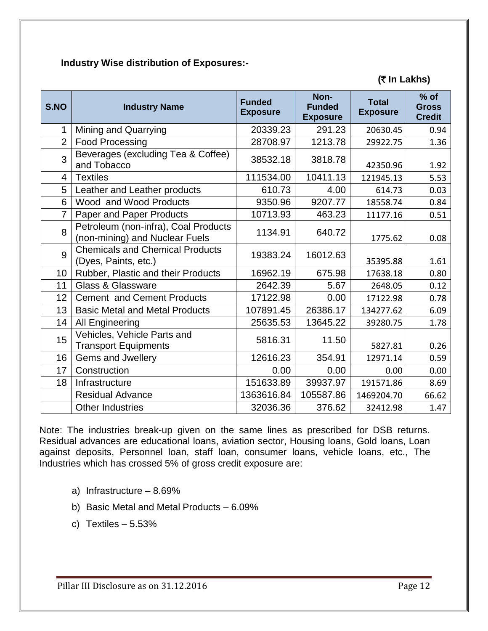## **Industry Wise distribution of Exposures:-**

# **(**` **In Lakhs)**

| S.NO           | <b>Industry Name</b>                                                   | <b>Funded</b><br><b>Exposure</b> | Non-<br><b>Funded</b><br><b>Exposure</b> | <b>Total</b><br><b>Exposure</b> | $%$ of<br><b>Gross</b><br><b>Credit</b> |
|----------------|------------------------------------------------------------------------|----------------------------------|------------------------------------------|---------------------------------|-----------------------------------------|
| 1              | <b>Mining and Quarrying</b>                                            | 20339.23                         | 291.23                                   | 20630.45                        | 0.94                                    |
| $\overline{2}$ | <b>Food Processing</b>                                                 | 28708.97                         | 1213.78                                  | 29922.75                        | 1.36                                    |
| 3              | Beverages (excluding Tea & Coffee)<br>and Tobacco                      | 38532.18                         | 3818.78                                  | 42350.96                        | 1.92                                    |
| 4              | <b>Textiles</b>                                                        | 111534.00                        | 10411.13                                 | 121945.13                       | 5.53                                    |
| 5              | Leather and Leather products                                           | 610.73                           | 4.00                                     | 614.73                          | 0.03                                    |
| 6              | Wood and Wood Products                                                 | 9350.96                          | 9207.77                                  | 18558.74                        | 0.84                                    |
| $\overline{7}$ | Paper and Paper Products                                               | 10713.93                         | 463.23                                   | 11177.16                        | 0.51                                    |
| 8              | Petroleum (non-infra), Coal Products<br>(non-mining) and Nuclear Fuels | 1134.91                          | 640.72                                   | 1775.62                         | 0.08                                    |
| 9              | <b>Chemicals and Chemical Products</b><br>(Dyes, Paints, etc.)         | 19383.24                         | 16012.63                                 | 35395.88                        | 1.61                                    |
| 10             | Rubber, Plastic and their Products                                     | 16962.19                         | 675.98                                   | 17638.18                        | 0.80                                    |
| 11             | <b>Glass &amp; Glassware</b>                                           | 2642.39                          | 5.67                                     | 2648.05                         | 0.12                                    |
| 12             | <b>Cement and Cement Products</b>                                      | 17122.98                         | 0.00                                     | 17122.98                        | 0.78                                    |
| 13             | <b>Basic Metal and Metal Products</b>                                  | 107891.45                        | 26386.17                                 | 134277.62                       | 6.09                                    |
| 14             | All Engineering                                                        | 25635.53                         | 13645.22                                 | 39280.75                        | 1.78                                    |
| 15             | Vehicles, Vehicle Parts and<br><b>Transport Equipments</b>             | 5816.31                          | 11.50                                    | 5827.81                         | 0.26                                    |
| 16             | Gems and Jwellery                                                      | 12616.23                         | 354.91                                   | 12971.14                        | 0.59                                    |
| 17             | Construction                                                           | 0.00                             | 0.00                                     | 0.00                            | 0.00                                    |
| 18             | Infrastructure                                                         | 151633.89                        | 39937.97                                 | 191571.86                       | 8.69                                    |
|                | <b>Residual Advance</b>                                                | 1363616.84                       | 105587.86                                | 1469204.70                      | 66.62                                   |
|                | <b>Other Industries</b>                                                | 32036.36                         | 376.62                                   | 32412.98                        | 1.47                                    |

Note: The industries break-up given on the same lines as prescribed for DSB returns. Residual advances are educational loans, aviation sector, Housing loans, Gold loans, Loan against deposits, Personnel loan, staff loan, consumer loans, vehicle loans, etc., The Industries which has crossed 5% of gross credit exposure are:

- a) Infrastructure 8.69%
- b) Basic Metal and Metal Products 6.09%
- c) Textiles 5.53%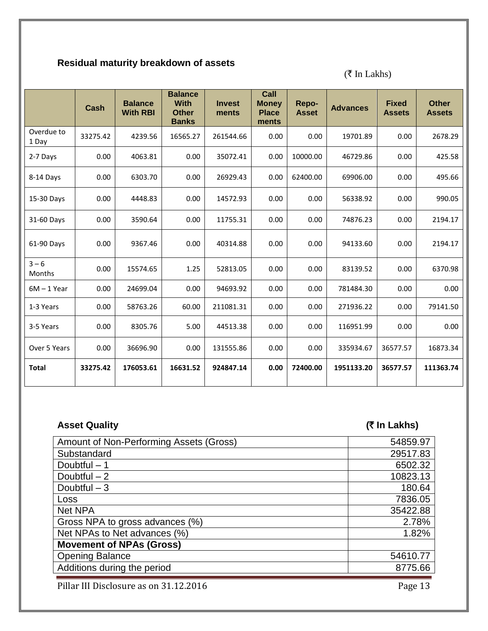# **Residual maturity breakdown of assets**

 $(\overline{\overline{\varsigma}}$  In Lakhs)

|                     | <b>Cash</b> | <b>Balance</b><br><b>With RBI</b> | <b>Balance</b><br><b>With</b><br><b>Other</b><br><b>Banks</b> | <b>Invest</b><br>ments | Call<br><b>Money</b><br><b>Place</b><br>ments | Repo-<br><b>Asset</b> | <b>Advances</b> | <b>Fixed</b><br><b>Assets</b> | <b>Other</b><br><b>Assets</b> |
|---------------------|-------------|-----------------------------------|---------------------------------------------------------------|------------------------|-----------------------------------------------|-----------------------|-----------------|-------------------------------|-------------------------------|
| Overdue to<br>1 Day | 33275.42    | 4239.56                           | 16565.27                                                      | 261544.66              | 0.00                                          | 0.00                  | 19701.89        | 0.00                          | 2678.29                       |
| 2-7 Days            | 0.00        | 4063.81                           | 0.00                                                          | 35072.41               | 0.00                                          | 10000.00              | 46729.86        | 0.00                          | 425.58                        |
| 8-14 Days           | 0.00        | 6303.70                           | 0.00                                                          | 26929.43               | 0.00                                          | 62400.00              | 69906.00        | 0.00                          | 495.66                        |
| 15-30 Days          | 0.00        | 4448.83                           | 0.00                                                          | 14572.93               | 0.00                                          | 0.00                  | 56338.92        | 0.00                          | 990.05                        |
| 31-60 Days          | 0.00        | 3590.64                           | 0.00                                                          | 11755.31               | 0.00                                          | 0.00                  | 74876.23        | 0.00                          | 2194.17                       |
| 61-90 Days          | 0.00        | 9367.46                           | 0.00                                                          | 40314.88               | 0.00                                          | 0.00                  | 94133.60        | 0.00                          | 2194.17                       |
| $3 - 6$<br>Months   | 0.00        | 15574.65                          | 1.25                                                          | 52813.05               | 0.00                                          | 0.00                  | 83139.52        | 0.00                          | 6370.98                       |
| $6M - 1$ Year       | 0.00        | 24699.04                          | 0.00                                                          | 94693.92               | 0.00                                          | 0.00                  | 781484.30       | 0.00                          | 0.00                          |
| 1-3 Years           | 0.00        | 58763.26                          | 60.00                                                         | 211081.31              | 0.00                                          | 0.00                  | 271936.22       | 0.00                          | 79141.50                      |
| 3-5 Years           | 0.00        | 8305.76                           | 5.00                                                          | 44513.38               | 0.00                                          | 0.00                  | 116951.99       | 0.00                          | 0.00                          |
| Over 5 Years        | 0.00        | 36696.90                          | 0.00                                                          | 131555.86              | 0.00                                          | 0.00                  | 335934.67       | 36577.57                      | 16873.34                      |
| <b>Total</b>        | 33275.42    | 176053.61                         | 16631.52                                                      | 924847.14              | 0.00                                          | 72400.00              | 1951133.20      | 36577.57                      | 111363.74                     |

# **Asset Quality (**` **In Lakhs)**

| Amount of Non-Performing Assets (Gross) | 54859.97 |
|-----------------------------------------|----------|
| Substandard                             | 29517.83 |
| Doubtful $-1$                           | 6502.32  |
| Doubtful $-2$                           | 10823.13 |
| Doubtful $-3$                           | 180.64   |
| Loss                                    | 7836.05  |
| <b>Net NPA</b>                          | 35422.88 |
| Gross NPA to gross advances (%)         | 2.78%    |
| Net NPAs to Net advances (%)            | 1.82%    |
| <b>Movement of NPAs (Gross)</b>         |          |
| <b>Opening Balance</b>                  | 54610.77 |
| Additions during the period             | 8775.66  |
|                                         |          |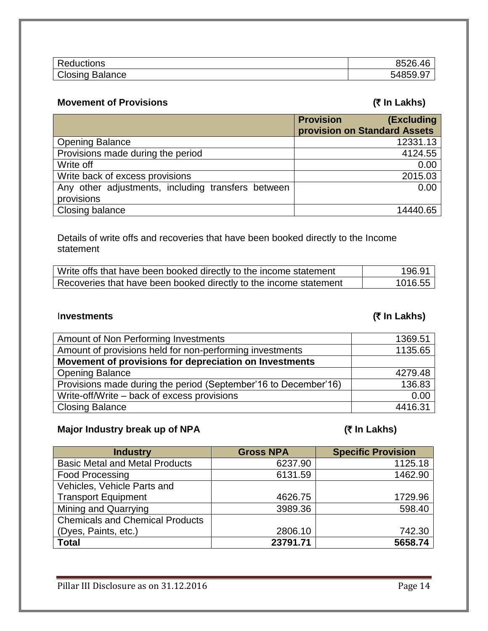| D-         | 0502 |
|------------|------|
| Reductions |      |
| Closing    | -    |
| Balance    | ∽າ⊻. |

# **Movement of Provisions (₹ In Lakhs)**

|                                                    | <b>Provision</b><br>(Excluding |
|----------------------------------------------------|--------------------------------|
|                                                    | provision on Standard Assets   |
| <b>Opening Balance</b>                             | 12331.13                       |
| Provisions made during the period                  | 4124.55                        |
| Write off                                          | 0.00                           |
| Write back of excess provisions                    | 2015.03                        |
| Any other adjustments, including transfers between | 0.00                           |
| provisions                                         |                                |
| Closing balance                                    | 14440.65                       |

Details of write offs and recoveries that have been booked directly to the Income statement

| Write offs that have been booked directly to the income statement | <u> 196.91 i</u> |
|-------------------------------------------------------------------|------------------|
| Recoveries that have been booked directly to the income statement | 1016.55          |

# I**nvestments (**` **In Lakhs)**

| Amount of Non Performing Investments                            | 1369.51 |
|-----------------------------------------------------------------|---------|
| Amount of provisions held for non-performing investments        | 1135.65 |
| Movement of provisions for depreciation on Investments          |         |
| <b>Opening Balance</b>                                          | 4279.48 |
| Provisions made during the period (September'16 to December'16) | 136.83  |
| Write-off/Write – back of excess provisions                     | 0.00    |
| <b>Closing Balance</b>                                          | 4416.31 |

### **Major Industry break up of NPA** (₹ In Lakhs)

| <b>Industry</b>                        | <b>Gross NPA</b> | <b>Specific Provision</b> |
|----------------------------------------|------------------|---------------------------|
| <b>Basic Metal and Metal Products</b>  | 6237.90          | 1125.18                   |
| <b>Food Processing</b>                 | 6131.59          | 1462.90                   |
| Vehicles, Vehicle Parts and            |                  |                           |
| <b>Transport Equipment</b>             | 4626.75          | 1729.96                   |
| Mining and Quarrying                   | 3989.36          | 598.40                    |
| <b>Chemicals and Chemical Products</b> |                  |                           |
| (Dyes, Paints, etc.)                   | 2806.10          | 742.30                    |
| <b>Total</b>                           | 23791.71         | 5658.74                   |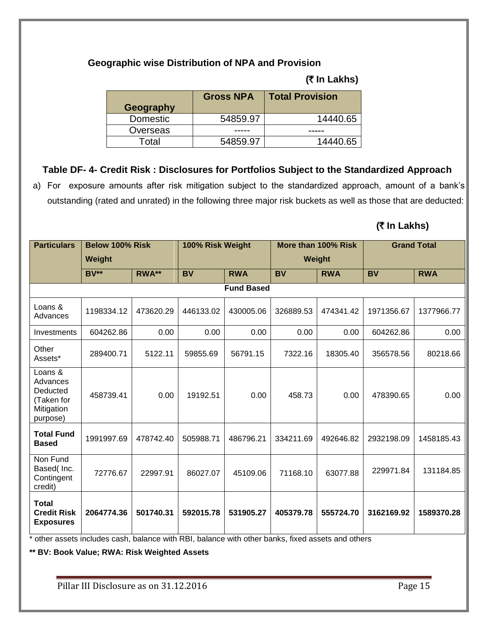# **Geographic wise Distribution of NPA and Provision**

|  | (₹ In Lakhs) |
|--|--------------|
|--|--------------|

| Geography       | <b>Gross NPA</b> | <b>Total Provision</b> |
|-----------------|------------------|------------------------|
| <b>Domestic</b> | 54859.97         | 14440.65               |
| Overseas        |                  |                        |
| Total           | 54859.97         | 14440.65               |

# **Table DF- 4- Credit Risk : Disclosures for Portfolios Subject to the Standardized Approach**

a) For exposure amounts after risk mitigation subject to the standardized approach, amount of a bank's outstanding (rated and unrated) in the following three major risk buckets as well as those that are deducted:

# **(**` **In Lakhs)**

| <b>Particulars</b>                                                      | Below 100% Risk |           | 100% Risk Weight |                   |               | More than 100% Risk |            | <b>Grand Total</b> |
|-------------------------------------------------------------------------|-----------------|-----------|------------------|-------------------|---------------|---------------------|------------|--------------------|
|                                                                         | Weight          |           |                  |                   | <b>Weight</b> |                     |            |                    |
|                                                                         | $BV**$          | RWA**     | <b>BV</b>        | <b>RWA</b>        | <b>BV</b>     | <b>RWA</b>          | <b>BV</b>  | <b>RWA</b>         |
|                                                                         |                 |           |                  | <b>Fund Based</b> |               |                     |            |                    |
| Loans &<br>Advances                                                     | 1198334.12      | 473620.29 | 446133.02        | 430005.06         | 326889.53     | 474341.42           | 1971356.67 | 1377966.77         |
| Investments                                                             | 604262.86       | 0.00      | 0.00             | 0.00              | 0.00          | 0.00                | 604262.86  | 0.00               |
| Other<br>Assets*                                                        | 289400.71       | 5122.11   | 59855.69         | 56791.15          | 7322.16       | 18305.40            | 356578.56  | 80218.66           |
| Loans &<br>Advances<br>Deducted<br>(Taken for<br>Mitigation<br>purpose) | 458739.41       | 0.00      | 19192.51         | 0.00              | 458.73        | 0.00                | 478390.65  | 0.00               |
| <b>Total Fund</b><br><b>Based</b>                                       | 1991997.69      | 478742.40 | 505988.71        | 486796.21         | 334211.69     | 492646.82           | 2932198.09 | 1458185.43         |
| Non Fund<br>Based(Inc.<br>Contingent<br>credit)                         | 72776.67        | 22997.91  | 86027.07         | 45109.06          | 71168.10      | 63077.88            | 229971.84  | 131184.85          |
| Total<br><b>Credit Risk</b><br><b>Exposures</b>                         | 2064774.36      | 501740.31 | 592015.78        | 531905.27         | 405379.78     | 555724.70           | 3162169.92 | 1589370.28         |

\* other assets includes cash, balance with RBI, balance with other banks, fixed assets and others

**\*\* BV: Book Value; RWA: Risk Weighted Assets**

Pillar III Disclosure as on 31.12.2016 Pillar III Disclosure as on 31.12.2016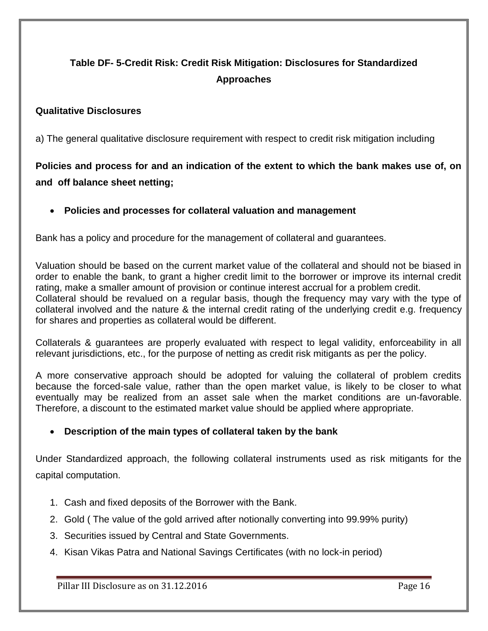# **Table DF- 5-Credit Risk: Credit Risk Mitigation: Disclosures for Standardized Approaches**

# **Qualitative Disclosures**

a) The general qualitative disclosure requirement with respect to credit risk mitigation including

# **Policies and process for and an indication of the extent to which the bank makes use of, on and off balance sheet netting;**

# **Policies and processes for collateral valuation and management**

Bank has a policy and procedure for the management of collateral and guarantees.

Valuation should be based on the current market value of the collateral and should not be biased in order to enable the bank, to grant a higher credit limit to the borrower or improve its internal credit rating, make a smaller amount of provision or continue interest accrual for a problem credit. Collateral should be revalued on a regular basis, though the frequency may vary with the type of collateral involved and the nature & the internal credit rating of the underlying credit e.g. frequency for shares and properties as collateral would be different.

Collaterals & guarantees are properly evaluated with respect to legal validity, enforceability in all relevant jurisdictions, etc., for the purpose of netting as credit risk mitigants as per the policy.

A more conservative approach should be adopted for valuing the collateral of problem credits because the forced-sale value, rather than the open market value, is likely to be closer to what eventually may be realized from an asset sale when the market conditions are un-favorable. Therefore, a discount to the estimated market value should be applied where appropriate.

# **Description of the main types of collateral taken by the bank**

Under Standardized approach, the following collateral instruments used as risk mitigants for the capital computation.

- 1. Cash and fixed deposits of the Borrower with the Bank.
- 2. Gold ( The value of the gold arrived after notionally converting into 99.99% purity)
- 3. Securities issued by Central and State Governments.
- 4. Kisan Vikas Patra and National Savings Certificates (with no lock-in period)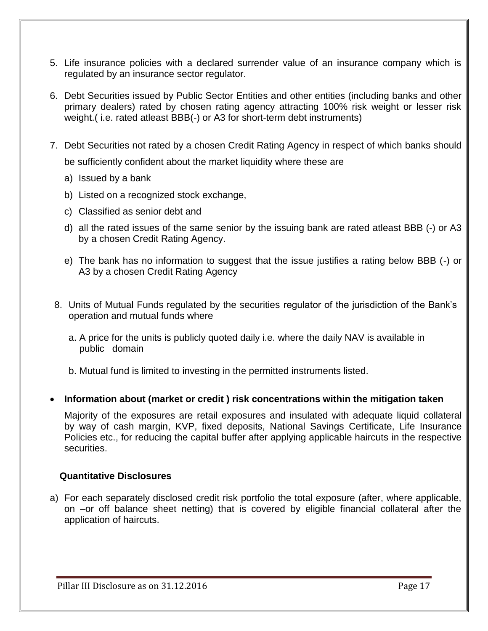- 5. Life insurance policies with a declared surrender value of an insurance company which is regulated by an insurance sector regulator.
- 6. Debt Securities issued by Public Sector Entities and other entities (including banks and other primary dealers) rated by chosen rating agency attracting 100% risk weight or lesser risk weight.( i.e. rated atleast BBB(-) or A3 for short-term debt instruments)
- 7. Debt Securities not rated by a chosen Credit Rating Agency in respect of which banks should be sufficiently confident about the market liquidity where these are
	- a) Issued by a bank
	- b) Listed on a recognized stock exchange,
	- c) Classified as senior debt and
	- d) all the rated issues of the same senior by the issuing bank are rated atleast BBB (-) or A3 by a chosen Credit Rating Agency.
	- e) The bank has no information to suggest that the issue justifies a rating below BBB (-) or A3 by a chosen Credit Rating Agency
- 8. Units of Mutual Funds regulated by the securities regulator of the jurisdiction of the Bank's operation and mutual funds where
	- a. A price for the units is publicly quoted daily i.e. where the daily NAV is available in public domain

b. Mutual fund is limited to investing in the permitted instruments listed.

**Information about (market or credit ) risk concentrations within the mitigation taken**

Majority of the exposures are retail exposures and insulated with adequate liquid collateral by way of cash margin, KVP, fixed deposits, National Savings Certificate, Life Insurance Policies etc., for reducing the capital buffer after applying applicable haircuts in the respective securities.

#### **Quantitative Disclosures**

a) For each separately disclosed credit risk portfolio the total exposure (after, where applicable, on –or off balance sheet netting) that is covered by eligible financial collateral after the application of haircuts.